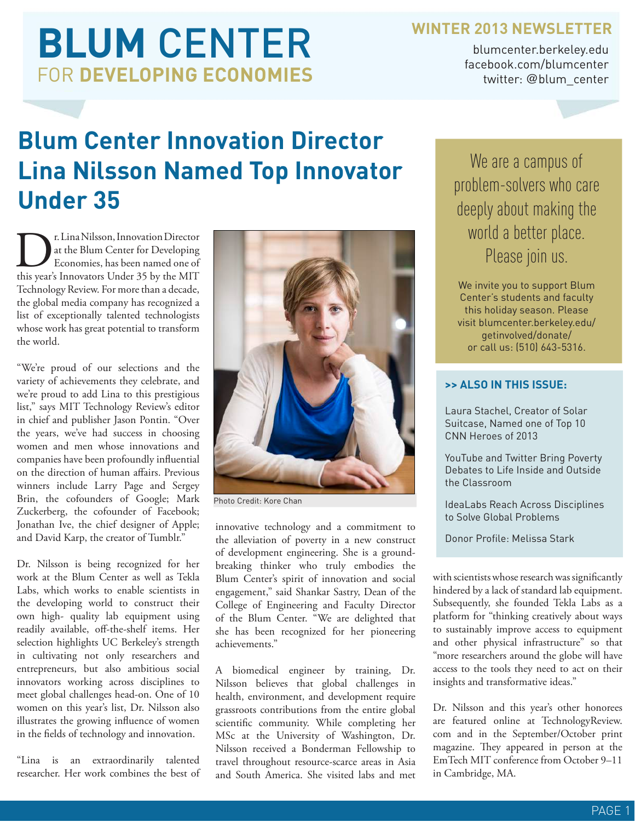### **WINTER 2013 NEWSLETTER**

**BLUM** CENTER FOR **DEVELOPING ECONOMIES**

blumcenter.berkeley.edu facebook.com/blumcenter twitter: @blum\_center

## **Blum Center Innovation Director Lina Nilsson Named Top Innovator Under 35**

**DEREVIER SHEET SERVIER SERVIER SERVIER SERVIER SERVIER SERVIER SERVIER SERVIER SERVIER SERVIER SERVIER SERVIER SERVIER SERVIER SERVIER SERVIER SERVIER SERVIER SERVIER SERVIER SERVIER SERVIER SERVIER SERVIER SERVIER SERVIE** at the Blum Center for Developing Economies, has been named one of this year's Innovators Under 35 by the MIT Technology Review. For more than a decade, the global media company has recognized a list of exceptionally talented technologists whose work has great potential to transform the world.

"We're proud of our selections and the variety of achievements they celebrate, and we're proud to add Lina to this prestigious list," says MIT Technology Review's editor in chief and publisher Jason Pontin. "Over the years, we've had success in choosing women and men whose innovations and companies have been profoundly influential on the direction of human affairs. Previous winners include Larry Page and Sergey Brin, the cofounders of Google; Mark Zuckerberg, the cofounder of Facebook; Jonathan Ive, the chief designer of Apple; and David Karp, the creator of Tumblr."

Dr. Nilsson is being recognized for her work at the Blum Center as well as Tekla Labs, which works to enable scientists in the developing world to construct their own high- quality lab equipment using readily available, off-the-shelf items. Her selection highlights UC Berkeley's strength in cultivating not only researchers and entrepreneurs, but also ambitious social innovators working across disciplines to meet global challenges head-on. One of 10 women on this year's list, Dr. Nilsson also illustrates the growing influence of women in the fields of technology and innovation.

"Lina is an extraordinarily talented researcher. Her work combines the best of



Photo Credit: Kore Chan

innovative technology and a commitment to the alleviation of poverty in a new construct of development engineering. She is a groundbreaking thinker who truly embodies the Blum Center's spirit of innovation and social engagement," said Shankar Sastry, Dean of the College of Engineering and Faculty Director of the Blum Center. "We are delighted that she has been recognized for her pioneering achievements."

A biomedical engineer by training, Dr. Nilsson believes that global challenges in health, environment, and development require grassroots contributions from the entire global scientific community. While completing her MSc at the University of Washington, Dr. Nilsson received a Bonderman Fellowship to travel throughout resource-scarce areas in Asia and South America. She visited labs and met

We are a campus of problem-solvers who care deeply about making the world a better place. Please join us.

We invite you to support Blum Center's students and faculty this holiday season. Please visit blumcenter.berkeley.edu/ getinvolved/donate/ or call us: (510) 643-5316.

#### **>> ALSO IN THIS ISSUE:**

Laura Stachel, Creator of Solar Suitcase, Named one of Top 10 CNN Heroes of 2013

YouTube and Twitter Bring Poverty Debates to Life Inside and Outside the Classroom

IdeaLabs Reach Across Disciplines to Solve Global Problems

Donor Profile: Melissa Stark

with scientists whose research was significantly hindered by a lack of standard lab equipment. Subsequently, she founded Tekla Labs as a platform for "thinking creatively about ways to sustainably improve access to equipment and other physical infrastructure" so that "more researchers around the globe will have access to the tools they need to act on their insights and transformative ideas."

Dr. Nilsson and this year's other honorees are featured online at TechnologyReview. com and in the September/October print magazine. They appeared in person at the EmTech MIT conference from October 9–11 in Cambridge, MA.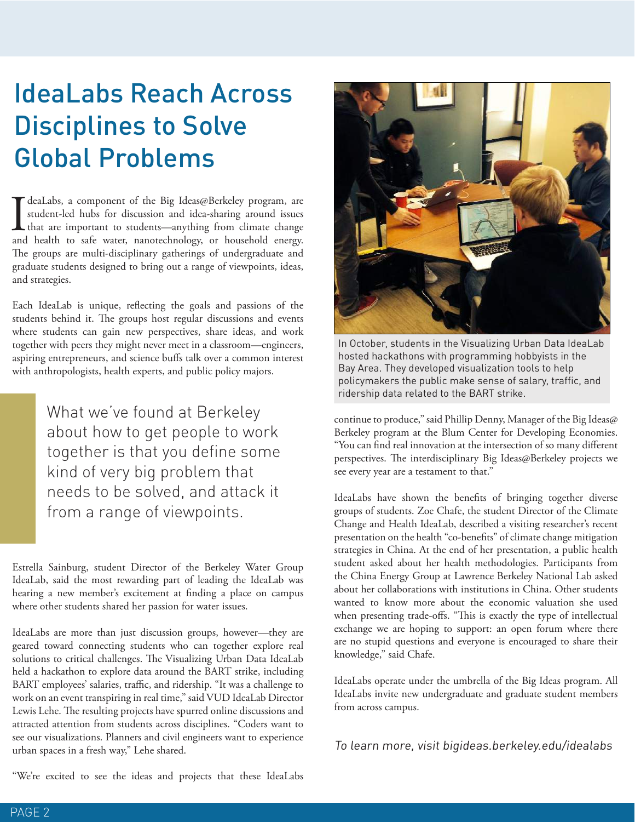## IdeaLabs Reach Across Disciplines to Solve Global Problems

T deaLabs, a component of the Big Ideas@Berkeley program, are student-led hubs for discussion and idea-sharing around issues that are important to students—anything from climate change and health to safe water, nanotechnol deaLabs, a component of the Big Ideas@Berkeley program, are student-led hubs for discussion and idea-sharing around issues **L** that are important to students—anything from climate change The groups are multi-disciplinary gatherings of undergraduate and graduate students designed to bring out a range of viewpoints, ideas, and strategies.

Each IdeaLab is unique, reflecting the goals and passions of the students behind it. The groups host regular discussions and events where students can gain new perspectives, share ideas, and work together with peers they might never meet in a classroom—engineers, aspiring entrepreneurs, and science buffs talk over a common interest with anthropologists, health experts, and public policy majors.

> What we've found at Berkeley about how to get people to work together is that you define some kind of very big problem that needs to be solved, and attack it from a range of viewpoints.

Estrella Sainburg, student Director of the Berkeley Water Group IdeaLab, said the most rewarding part of leading the IdeaLab was hearing a new member's excitement at finding a place on campus where other students shared her passion for water issues.

IdeaLabs are more than just discussion groups, however—they are geared toward connecting students who can together explore real solutions to critical challenges. The Visualizing Urban Data IdeaLab held a hackathon to explore data around the BART strike, including BART employees' salaries, traffic, and ridership. "It was a challenge to work on an event transpiring in real time," said VUD IdeaLab Director Lewis Lehe. The resulting projects have spurred online discussions and attracted attention from students across disciplines. "Coders want to see our visualizations. Planners and civil engineers want to experience urban spaces in a fresh way," Lehe shared.

"We're excited to see the ideas and projects that these IdeaLabs



In October, students in the Visualizing Urban Data IdeaLab hosted hackathons with programming hobbyists in the Bay Area. They developed visualization tools to help policymakers the public make sense of salary, traffic, and ridership data related to the BART strike.

continue to produce," said Phillip Denny, Manager of the Big Ideas@ Berkeley program at the Blum Center for Developing Economies. "You can find real innovation at the intersection of so many different perspectives. The interdisciplinary Big Ideas@Berkeley projects we see every year are a testament to that."

IdeaLabs have shown the benefits of bringing together diverse groups of students. Zoe Chafe, the student Director of the Climate Change and Health IdeaLab, described a visiting researcher's recent presentation on the health "co-benefits" of climate change mitigation strategies in China. At the end of her presentation, a public health student asked about her health methodologies. Participants from the China Energy Group at Lawrence Berkeley National Lab asked about her collaborations with institutions in China. Other students wanted to know more about the economic valuation she used when presenting trade-offs. "This is exactly the type of intellectual exchange we are hoping to support: an open forum where there are no stupid questions and everyone is encouraged to share their knowledge," said Chafe.

IdeaLabs operate under the umbrella of the Big Ideas program. All IdeaLabs invite new undergraduate and graduate student members from across campus.

To learn more, visit bigideas.berkeley.edu/idealabs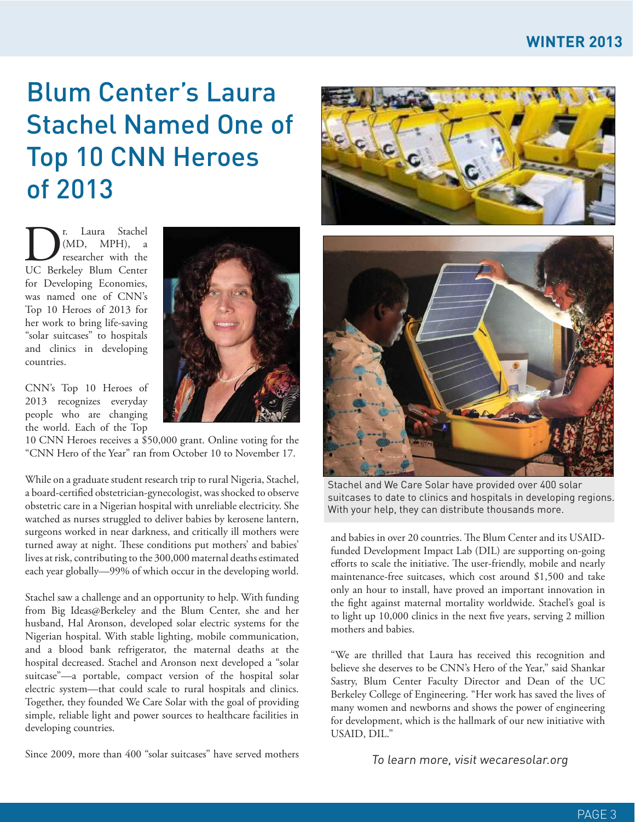### **WINTER 2013**

## Blum Center's Laura Stachel Named One of Top 10 CNN Heroes of 2013

**D**<sup>r.</sup> Laura Stachel<br>
(MD, MPH), a<br>
UC Berkeley Blum Center (MD, MPH), a researcher with the for Developing Economies, was named one of CNN's Top 10 Heroes of 2013 for her work to bring life-saving "solar suitcases" to hospitals and clinics in developing countries.

CNN's Top 10 Heroes of 2013 recognizes everyday people who are changing the world. Each of the Top

10 CNN Heroes receives a \$50,000 grant. Online voting for the "CNN Hero of the Year" ran from October 10 to November 17.

While on a graduate student research trip to rural Nigeria, Stachel, a board-certified obstetrician-gynecologist, was shocked to observe obstetric care in a Nigerian hospital with unreliable electricity. She watched as nurses struggled to deliver babies by kerosene lantern, surgeons worked in near darkness, and critically ill mothers were turned away at night. These conditions put mothers' and babies' lives at risk, contributing to the 300,000 maternal deaths estimated each year globally—99% of which occur in the developing world.

Stachel saw a challenge and an opportunity to help. With funding from Big Ideas@Berkeley and the Blum Center, she and her husband, Hal Aronson, developed solar electric systems for the Nigerian hospital. With stable lighting, mobile communication, and a blood bank refrigerator, the maternal deaths at the hospital decreased. Stachel and Aronson next developed a "solar suitcase"—a portable, compact version of the hospital solar electric system—that could scale to rural hospitals and clinics. Together, they founded We Care Solar with the goal of providing simple, reliable light and power sources to healthcare facilities in developing countries.

Since 2009, more than 400 "solar suitcases" have served mothers





Stachel and We Care Solar have provided over 400 solar suitcases to date to clinics and hospitals in developing regions. With your help, they can distribute thousands more.

and babies in over 20 countries. The Blum Center and its USAIDfunded Development Impact Lab (DIL) are supporting on-going efforts to scale the initiative. The user-friendly, mobile and nearly maintenance-free suitcases, which cost around \$1,500 and take only an hour to install, have proved an important innovation in the fight against maternal mortality worldwide. Stachel's goal is to light up 10,000 clinics in the next five years, serving 2 million mothers and babies.

"We are thrilled that Laura has received this recognition and believe she deserves to be CNN's Hero of the Year," said Shankar Sastry, Blum Center Faculty Director and Dean of the UC Berkeley College of Engineering. "Her work has saved the lives of many women and newborns and shows the power of engineering for development, which is the hallmark of our new initiative with USAID, DIL."

To learn more, visit wecaresolar.org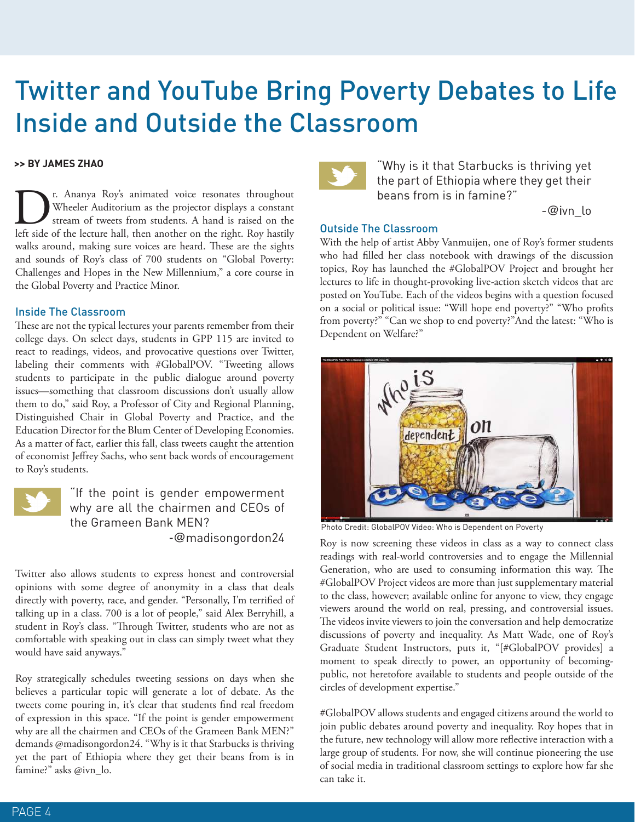### Twitter and YouTube Bring Poverty Debates to Life Inside and Outside the Classroom

#### **>> BY JAMES ZHAO**

I. Ananya Roy's animated voice resonates throughout Wheeler Auditorium as the projector displays a constant stream of tweets from students. A hand is raised on the left side of the lecture hall, then another on the right. Wheeler Auditorium as the projector displays a constant stream of tweets from students. A hand is raised on the walks around, making sure voices are heard. These are the sights and sounds of Roy's class of 700 students on "Global Poverty: Challenges and Hopes in the New Millennium," a core course in the Global Poverty and Practice Minor.

#### Inside The Classroom

These are not the typical lectures your parents remember from their college days. On select days, students in GPP 115 are invited to react to readings, videos, and provocative questions over Twitter, labeling their comments with #GlobalPOV. "Tweeting allows students to participate in the public dialogue around poverty issues—something that classroom discussions don't usually allow them to do," said Roy, a Professor of City and Regional Planning, Distinguished Chair in Global Poverty and Practice, and the Education Director for the Blum Center of Developing Economies. As a matter of fact, earlier this fall, class tweets caught the attention of economist Jeffrey Sachs, who sent back words of encouragement to Roy's students.



"If the point is gender empowerment why are all the chairmen and CEOs of the Grameen Bank MEN? -@madisongordon24

Twitter also allows students to express honest and controversial opinions with some degree of anonymity in a class that deals directly with poverty, race, and gender. "Personally, I'm terrified of talking up in a class. 700 is a lot of people," said Alex Berryhill, a student in Roy's class. "Through Twitter, students who are not as comfortable with speaking out in class can simply tweet what they would have said anyways."

Roy strategically schedules tweeting sessions on days when she believes a particular topic will generate a lot of debate. As the tweets come pouring in, it's clear that students find real freedom of expression in this space. "If the point is gender empowerment why are all the chairmen and CEOs of the Grameen Bank MEN?" demands @madisongordon24. "Why is it that Starbucks is thriving yet the part of Ethiopia where they get their beans from is in famine?" asks @ivn\_lo.



"Why is it that Starbucks is thriving yet the part of Ethiopia where they get their beans from is in famine?"

-@ivn\_lo

#### Outside The Classroom

With the help of artist Abby Vanmuijen, one of Roy's former students who had filled her class notebook with drawings of the discussion topics, Roy has launched the #GlobalPOV Project and brought her lectures to life in thought-provoking live-action sketch videos that are posted on YouTube. Each of the videos begins with a question focused on a social or political issue: "Will hope end poverty?" "Who profits from poverty?" "Can we shop to end poverty?"And the latest: "Who is Dependent on Welfare?"



Photo Credit: GlobalPOV Video: Who is Dependent on Poverty

Roy is now screening these videos in class as a way to connect class readings with real-world controversies and to engage the Millennial Generation, who are used to consuming information this way. The #GlobalPOV Project videos are more than just supplementary material to the class, however; available online for anyone to view, they engage viewers around the world on real, pressing, and controversial issues. The videos invite viewers to join the conversation and help democratize discussions of poverty and inequality. As Matt Wade, one of Roy's Graduate Student Instructors, puts it, "[#GlobalPOV provides] a moment to speak directly to power, an opportunity of becomingpublic, not heretofore available to students and people outside of the circles of development expertise."

#GlobalPOV allows students and engaged citizens around the world to join public debates around poverty and inequality. Roy hopes that in the future, new technology will allow more reflective interaction with a large group of students. For now, she will continue pioneering the use of social media in traditional classroom settings to explore how far she can take it.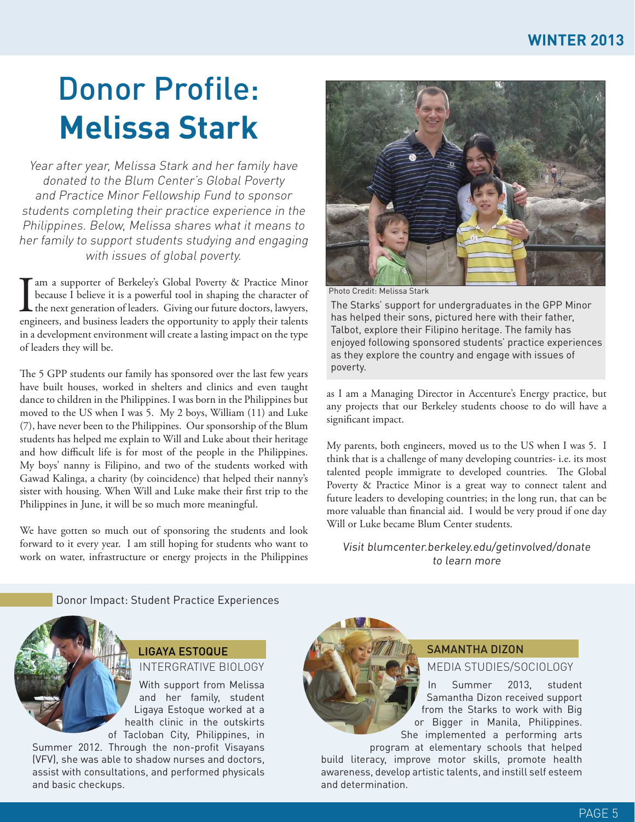# Donor Profile: **Melissa Stark**

Year after year, Melissa Stark and her family have donated to the Blum Center's Global Poverty and Practice Minor Fellowship Fund to sponsor students completing their practice experience in the Philippines. Below, Melissa shares what it means to her family to support students studying and engaging with issues of global poverty.

I am a supporter of Berkeley's Global Poverty & Practice Minor<br>because I believe it is a powerful tool in shaping the character of<br>the next generation of leaders. Giving our future doctors, lawyers,<br>engineers, and business because I believe it is a powerful tool in shaping the character of the next generation of leaders. Giving our future doctors, lawyers, engineers, and business leaders the opportunity to apply their talents in a development environment will create a lasting impact on the type of leaders they will be.

The 5 GPP students our family has sponsored over the last few years have built houses, worked in shelters and clinics and even taught dance to children in the Philippines. I was born in the Philippines but moved to the US when I was 5. My 2 boys, William (11) and Luke (7), have never been to the Philippines. Our sponsorship of the Blum students has helped me explain to Will and Luke about their heritage and how difficult life is for most of the people in the Philippines. My boys' nanny is Filipino, and two of the students worked with Gawad Kalinga, a charity (by coincidence) that helped their nanny's sister with housing. When Will and Luke make their first trip to the Philippines in June, it will be so much more meaningful.

We have gotten so much out of sponsoring the students and look forward to it every year. I am still hoping for students who want to work on water, infrastructure or energy projects in the Philippines



Photo Credit: Melissa Stark

The Starks' support for undergraduates in the GPP Minor has helped their sons, pictured here with their father, Talbot, explore their Filipino heritage. The family has enjoyed following sponsored students' practice experiences as they explore the country and engage with issues of poverty.

as I am a Managing Director in Accenture's Energy practice, but any projects that our Berkeley students choose to do will have a significant impact.

My parents, both engineers, moved us to the US when I was 5. I think that is a challenge of many developing countries- i.e. its most talented people immigrate to developed countries. The Global Poverty & Practice Minor is a great way to connect talent and future leaders to developing countries; in the long run, that can be more valuable than financial aid. I would be very proud if one day Will or Luke became Blum Center students.

Visit blumcenter.berkeley.edu/getinvolved/donate to learn more

Donor Impact: Student Practice Experiences



#### INTERGRATIVE BIOLOGY LIGAYA ESTOQUE

With support from Melissa and her family, student Ligaya Estoque worked at a health clinic in the outskirts of Tacloban City, Philippines, in

Summer 2012. Through the non-profit Visayans (VFV), she was able to shadow nurses and doctors, assist with consultations, and performed physicals and basic checkups.



#### SAMANTHA DIZON

MEDIA STUDIES/SOCIOLOGY

In Summer 2013, student Samantha Dizon received support from the Starks to work with Big or Bigger in Manila, Philippines. She implemented a performing arts

program at elementary schools that helped build literacy, improve motor skills, promote health awareness, develop artistic talents, and instill self esteem and determination.